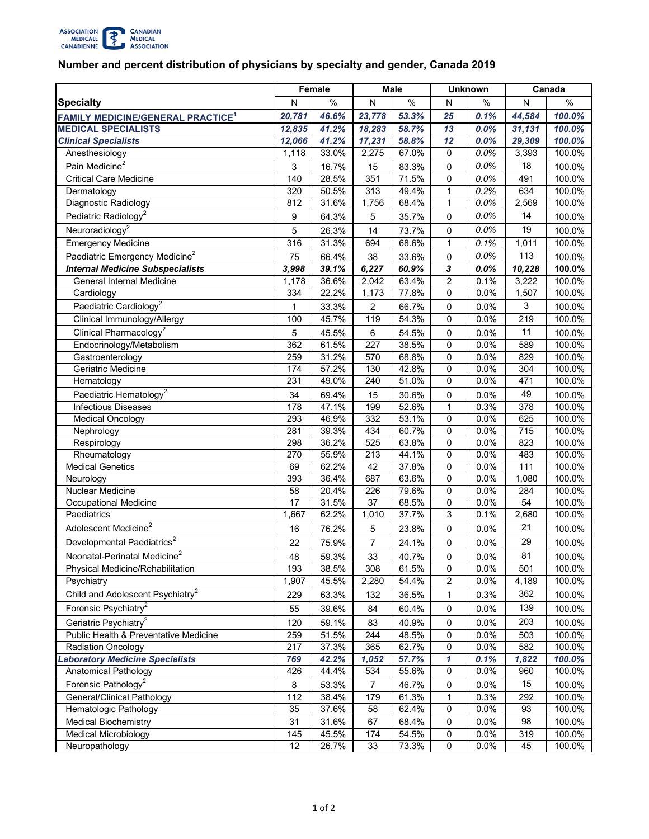

## **Number and percent distribution of physicians by specialty and gender, Canada 2019**

|                                                     | Female       |       | <b>Male</b>    |       | <b>Unknown</b> |      | Canada |        |
|-----------------------------------------------------|--------------|-------|----------------|-------|----------------|------|--------|--------|
| <b>Specialty</b>                                    | N            | $\%$  | N              | $\%$  | N              | %    | N      | $\%$   |
| <b>FAMILY MEDICINE/GENERAL PRACTICE<sup>1</sup></b> | 20,781       | 46.6% | 23,778         | 53.3% | 25             | 0.1% | 44,584 | 100.0% |
| <b>MEDICAL SPECIALISTS</b>                          | 12,835       | 41.2% | 18,283         | 58.7% | 13             | 0.0% | 31,131 | 100.0% |
| <b>Clinical Specialists</b>                         | 12,066       | 41.2% | 17,231         | 58.8% | 12             | 0.0% | 29,309 | 100.0% |
| Anesthesiology                                      | 1,118        | 33.0% | 2,275          | 67.0% | 0              | 0.0% | 3,393  | 100.0% |
| Pain Medicine <sup>2</sup>                          | 3            | 16.7% | 15             | 83.3% | $\mathbf 0$    | 0.0% | 18     | 100.0% |
| <b>Critical Care Medicine</b>                       | 140          | 28.5% | 351            | 71.5% | 0              | 0.0% | 491    | 100.0% |
| Dermatology                                         | 320          | 50.5% | 313            | 49.4% | 1              | 0.2% | 634    | 100.0% |
| Diagnostic Radiology                                | 812          | 31.6% | 1,756          | 68.4% | 1              | 0.0% | 2,569  | 100.0% |
| Pediatric Radiology <sup>2</sup>                    | 9            | 64.3% | 5              | 35.7% | $\mathbf 0$    | 0.0% | 14     | 100.0% |
| Neuroradiology <sup>2</sup>                         | 5            | 26.3% | 14             | 73.7% | $\mathbf 0$    | 0.0% | 19     | 100.0% |
| <b>Emergency Medicine</b>                           | 316          | 31.3% | 694            | 68.6% | $\mathbf{1}$   | 0.1% | 1,011  | 100.0% |
| Paediatric Emergency Medicine <sup>2</sup>          | 75           | 66.4% | 38             | 33.6% | 0              | 0.0% | 113    | 100.0% |
| <b>Internal Medicine Subspecialists</b>             | 3,998        | 39.1% | 6,227          | 60.9% | $\mathbf{3}$   | 0.0% | 10,228 | 100.0% |
| General Internal Medicine                           | 1,178        | 36.6% | 2,042          | 63.4% | $\overline{2}$ | 0.1% | 3,222  | 100.0% |
| Cardiology                                          | 334          | 22.2% | 1,173          | 77.8% | 0              | 0.0% | 1,507  | 100.0% |
| Paediatric Cardiology <sup>2</sup>                  | $\mathbf{1}$ | 33.3% | $\overline{2}$ | 66.7% | $\mathbf 0$    | 0.0% | 3      | 100.0% |
| Clinical Immunology/Allergy                         | 100          | 45.7% | 119            | 54.3% | 0              | 0.0% | 219    | 100.0% |
| Clinical Pharmacology <sup>2</sup>                  | 5            | 45.5% | 6              | 54.5% | 0              | 0.0% | 11     | 100.0% |
| Endocrinology/Metabolism                            | 362          | 61.5% | 227            | 38.5% | $\mathbf 0$    | 0.0% | 589    | 100.0% |
| Gastroenterology                                    | 259          | 31.2% | 570            | 68.8% | 0              | 0.0% | 829    | 100.0% |
| Geriatric Medicine                                  | 174          | 57.2% | 130            | 42.8% | 0              | 0.0% | 304    | 100.0% |
| Hematology                                          | 231          | 49.0% | 240            | 51.0% | 0              | 0.0% | 471    | 100.0% |
| Paediatric Hematology <sup>2</sup>                  | 34           | 69.4% | 15             | 30.6% | 0              | 0.0% | 49     | 100.0% |
| <b>Infectious Diseases</b>                          | 178          | 47.1% | 199            | 52.6% | $\mathbf{1}$   | 0.3% | 378    | 100.0% |
| <b>Medical Oncology</b>                             | 293          | 46.9% | 332            | 53.1% | $\mathbf 0$    | 0.0% | 625    | 100.0% |
| Nephrology                                          | 281          | 39.3% | 434            | 60.7% | $\mathbf 0$    | 0.0% | 715    | 100.0% |
| Respirology                                         | 298          | 36.2% | 525            | 63.8% | 0              | 0.0% | 823    | 100.0% |
| Rheumatology                                        | 270          | 55.9% | 213            | 44.1% | 0              | 0.0% | 483    | 100.0% |
| <b>Medical Genetics</b>                             | 69           | 62.2% | 42             | 37.8% | 0              | 0.0% | 111    | 100.0% |
| Neurology                                           | 393          | 36.4% | 687            | 63.6% | $\mathbf 0$    | 0.0% | 1,080  | 100.0% |
| Nuclear Medicine                                    | 58           | 20.4% | 226            | 79.6% | $\pmb{0}$      | 0.0% | 284    | 100.0% |
| <b>Occupational Medicine</b>                        | 17           | 31.5% | 37             | 68.5% | 0              | 0.0% | 54     | 100.0% |
| Paediatrics                                         | 1,667        | 62.2% | 1,010          | 37.7% | 3              | 0.1% | 2,680  | 100.0% |
| Adolescent Medicine <sup>2</sup>                    | 16           | 76.2% | 5              | 23.8% | 0              | 0.0% | 21     | 100.0% |
| Developmental Paediatrics <sup>2</sup>              | 22           | 75.9% | $\overline{7}$ | 24.1% | 0              | 0.0% | 29     | 100.0% |
| Neonatal-Perinatal Medicine <sup>2</sup>            | 48           | 59.3% | 33             | 40.7% | 0              | 0.0% | 81     | 100.0% |
| Physical Medicine/Rehabilitation                    | 193          | 38.5% | 308            | 61.5% | 0              | 0.0% | 501    | 100.0% |
| Psychiatry                                          | 1,907        | 45.5% | 2,280          | 54.4% | 2              | 0.0% | 4,189  | 100.0% |
| Child and Adolescent Psychiatry <sup>2</sup>        | 229          | 63.3% | 132            | 36.5% | 1              | 0.3% | 362    | 100.0% |
| Forensic Psychiatry <sup>2</sup>                    | 55           | 39.6% | 84             | 60.4% | $\mathbf 0$    | 0.0% | 139    | 100.0% |
| Geriatric Psychiatry <sup>2</sup>                   | 120          | 59.1% | 83             | 40.9% | 0              | 0.0% | 203    | 100.0% |
| Public Health & Preventative Medicine               | 259          | 51.5% | 244            | 48.5% | 0              | 0.0% | 503    | 100.0% |
| <b>Radiation Oncology</b>                           | 217          | 37.3% | 365            | 62.7% | 0              | 0.0% | 582    | 100.0% |
| <b>Laboratory Medicine Specialists</b>              | 769          | 42.2% | 1,052          | 57.7% | 1              | 0.1% | 1,822  | 100.0% |
| Anatomical Pathology                                | 426          | 44.4% | 534            | 55.6% | 0              | 0.0% | 960    | 100.0% |
| Forensic Pathology <sup>2</sup>                     | 8            | 53.3% | 7              | 46.7% | 0              | 0.0% | 15     | 100.0% |
| General/Clinical Pathology                          | 112          | 38.4% | 179            | 61.3% | 1              | 0.3% | 292    | 100.0% |
| Hematologic Pathology                               | 35           | 37.6% | 58             | 62.4% | 0              | 0.0% | 93     | 100.0% |
| <b>Medical Biochemistry</b>                         | 31           | 31.6% | 67             | 68.4% | 0              | 0.0% | 98     | 100.0% |
| <b>Medical Microbiology</b>                         | 145          | 45.5% | 174            | 54.5% | 0              | 0.0% | 319    | 100.0% |
| Neuropathology                                      | 12           | 26.7% | 33             | 73.3% | 0              | 0.0% | 45     | 100.0% |